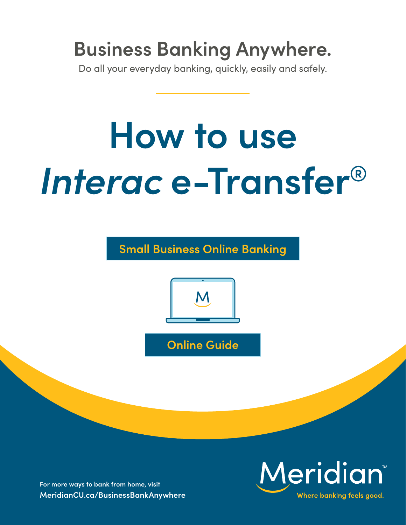# **Business Banking Anywhere.**

Do all your everyday banking, quickly, easily and safely.

# **How to use**  *Interac* **e-Transfer®**

**Small Business Online Banking** 



**Online Guide** 

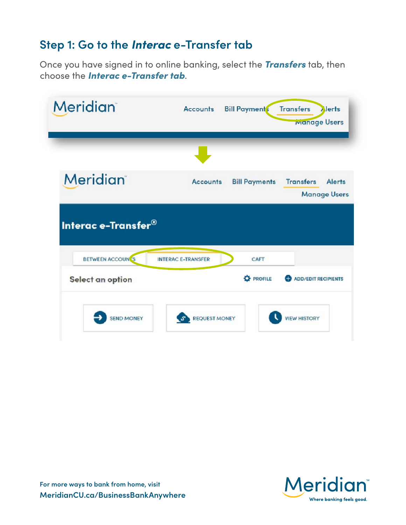#### **Step 1: Go to the** *Interac* **e-Transfer tab**

Once you have signed in to online banking, select the *Transfers* tab, then choose the *Interac e-Transfer tab*.

| <b>Accounts</b>           | <b>Bill Payments</b> | <b>Transfers</b><br><b>Alerts</b> |
|---------------------------|----------------------|-----------------------------------|
|                           |                      | <b>Manage Users</b>               |
|                           |                      |                                   |
|                           |                      |                                   |
| <b>INTERAC E-TRANSFER</b> | CAFT                 |                                   |
|                           |                      |                                   |

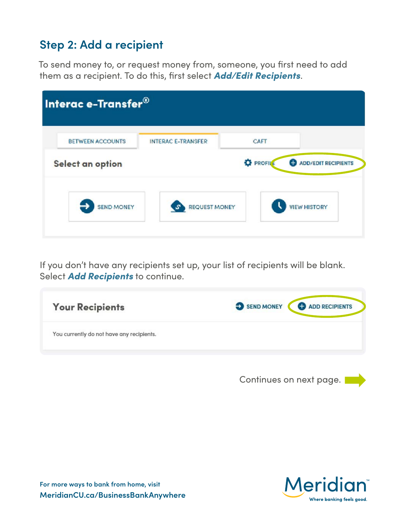### **Step 2: Add a recipient**

To send money to, or request money from, someone, you frst need to add them as a recipient. To do this, frst select *Add/Edit Recipients*.

|                  | <b>INTERAC E-TRANSFER</b> | CAFT             |                                 |
|------------------|---------------------------|------------------|---------------------------------|
| Select an option |                           | <b>D</b> PROFILE | <b>ADD/EDIT RECIPIENTS</b><br>Ð |

If you don't have any recipients set up, your list of recipients will be blank. Select *Add Recipients* to continue.

| <b>Your Recipients</b>                    | SEND MONEY <b>O</b> ADD RECIPIENTS |
|-------------------------------------------|------------------------------------|
| You currently do not have any recipients. |                                    |
|                                           |                                    |

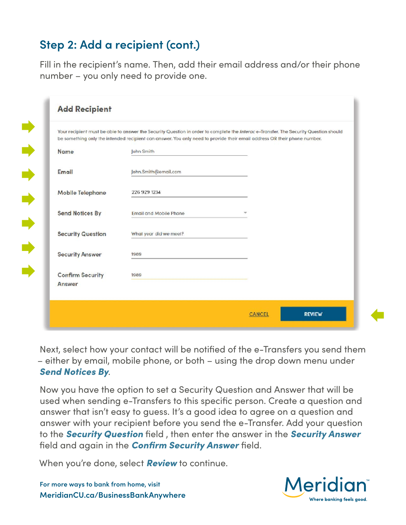## **Step 2: Add a recipient (cont.)**

E)

 $\Rightarrow$ 

 $\Rightarrow$ 

 $\Rightarrow$ 

 $\Rightarrow$ 

Fill in the recipient's name. Then, add their email address and/or their phone number – you only need to provide one.

|                                   | Your recipient must be able to answer the Security Question in order to complete the Interace-Transfer. The Security Question should<br>be something only the intended recipient can answer. You only need to provide their email address OR their phone number. |  |
|-----------------------------------|------------------------------------------------------------------------------------------------------------------------------------------------------------------------------------------------------------------------------------------------------------------|--|
| Name                              | John Smith                                                                                                                                                                                                                                                       |  |
| Email                             | John.Smith@email.com                                                                                                                                                                                                                                             |  |
| Mobile Telephone                  | 226 929 1234                                                                                                                                                                                                                                                     |  |
| <b>Send Notices By</b>            | <b>Email and Mobile Phone</b>                                                                                                                                                                                                                                    |  |
| <b>Security Question</b>          | What year did we meet?                                                                                                                                                                                                                                           |  |
| <b>Security Answer</b>            | 1989                                                                                                                                                                                                                                                             |  |
| <b>Confirm Security</b><br>Answer | 1989                                                                                                                                                                                                                                                             |  |

Next, select how your contact will be notifed of the e-Transfers you send them – either by email, mobile phone, or both – using the drop down menu under *Send Notices By*.

Now you have the option to set a Security Question and Answer that will be used when sending e-Transfers to this specifc person. Create a question and answer that isn't easy to guess. It's a good idea to agree on a question and answer with your recipient before you send the e-Transfer. Add your question to the *Security Question* feld , then enter the answer in the *Security Answer*  feld and again in the *Confrm Security Answer* feld.

When you're done, select *Review* to continue.

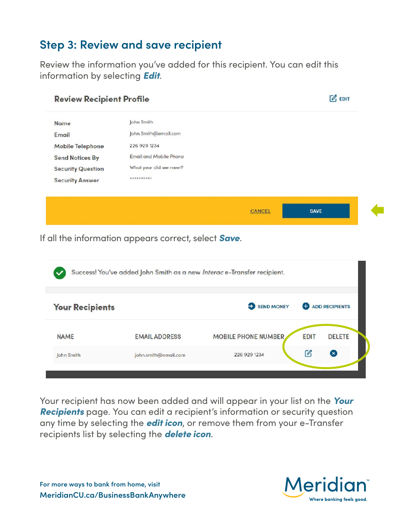#### **Step 3: Review and save recipient**

Review the information you've added for this recipient. You can edit this information by selecting *Edit*.

| <b>Review Recipient Profile</b> |                               |               | $\mathbb{Z}$ EDIT |
|---------------------------------|-------------------------------|---------------|-------------------|
| <b>Name</b>                     | John Smith                    |               |                   |
| Email                           | John.Smith@email.com          |               |                   |
| <b>Mobile Telephone</b>         | 226 929 1234                  |               |                   |
| <b>Send Notices By</b>          | <b>Email and Mobile Phone</b> |               |                   |
| <b>Security Question</b>        | What year did we meet?        |               |                   |
| <b>Security Answer</b>          | **********                    |               |                   |
|                                 |                               |               |                   |
|                                 |                               | <b>CANCEL</b> | <b>SAVE</b>       |
|                                 |                               |               |                   |

If all the information appears correct, select *Save*.

| <b>Your Recipients</b> |                      | SEND MONEY                 |             | <b>O</b> ADD RECIPIENTS |
|------------------------|----------------------|----------------------------|-------------|-------------------------|
| <b>NAME</b>            | <b>EMAIL ADDRESS</b> | <b>MOBILE PHONE NUMBER</b> | <b>EDIT</b> | <b>DELETE</b>           |
| John Smith             | john.smith@email.com | 226 929 1234               | Ø           | $(\mathbf{x})$          |

Your recipient has now been added and will appear in your list on the *Your Recipients* page. You can edit a recipient's information or security question any time by selecting the *edit icon*, or remove them from your e-Transfer recipients list by selecting the *delete icon*.

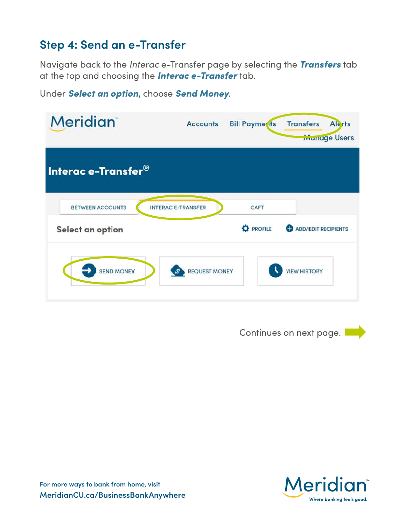#### **Step 4: Send an e-Transfer**

Navigate back to the *Interac* e-Transfer page by selecting the *Transfers* tab at the top and choosing the *Interac e-Transfer* tab.

|  |  |  |  |  |  | Under Select an option, choose Send Money. |
|--|--|--|--|--|--|--------------------------------------------|
|--|--|--|--|--|--|--------------------------------------------|

| <b>Meridian</b>         | <b>Accounts</b>           | <b>Bill Payments</b> | <b>Transfers</b><br><b>Alerts</b><br><b>Munage Users</b> |
|-------------------------|---------------------------|----------------------|----------------------------------------------------------|
| Interac e-Transfer®     |                           |                      |                                                          |
| <b>BETWEEN ACCOUNTS</b> | <b>INTERAC E-TRANSFER</b> | CAFT                 |                                                          |
| Select an option        |                           | <b>C</b> PROFILE     | <b>ADD/EDIT RECIPIENTS</b><br>Ð                          |
| <b>SEND MONEY</b>       | <b>REQUEST MONEY</b>      |                      | <b>VIEW HISTORY</b>                                      |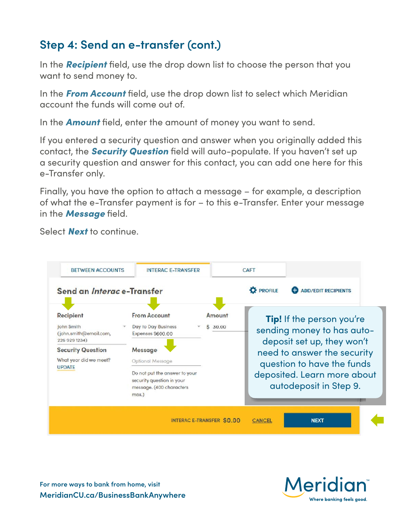### **Step 4: Send an e-transfer (cont.)**

In the *Recipient* feld, use the drop down list to choose the person that you want to send money to.

In the **From Account** field, use the drop down list to select which Meridian account the funds will come out of.

In the **Amount** field, enter the amount of money you want to send.

If you entered a security question and answer when you originally added this contact, the *Security Question* feld will auto-populate. If you haven't set up a security question and answer for this contact, you can add one here for this e-Transfer only.

Finally, you have the option to attach a message – for example, a description of what the e-Transfer payment is for – to this e-Transfer. Enter your message in the **Message** field.

Select *Next* to continue.



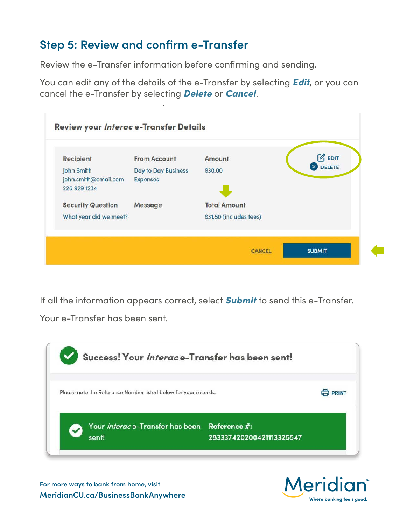### **Step 5: Review and confrm e-Transfer**

Review the e-Transfer information before confrming and sending.

You can edit any of the details of the e-Transfer by selecting *Edit*, or you can cancel the e-Transfer by selecting *Delete* or *Cancel*.

| <b>Recipient</b>         | <b>From Account</b> | Amount                  | $\mathbb{Z}$ EDIT |  |
|--------------------------|---------------------|-------------------------|-------------------|--|
| John Smith               | Day to Day Business | \$30.00                 | <b>8</b> DELETE   |  |
| john.smith@email.com     | <b>Expenses</b>     |                         |                   |  |
| 226 929 1234             |                     |                         |                   |  |
| <b>Security Question</b> | Message             | <b>Total Amount</b>     |                   |  |
| What year did we meet?   |                     | \$31.50 (includes fees) |                   |  |

If all the information appears correct, select *Submit* to send this e-Transfer.

Your e-Transfer has been sent.



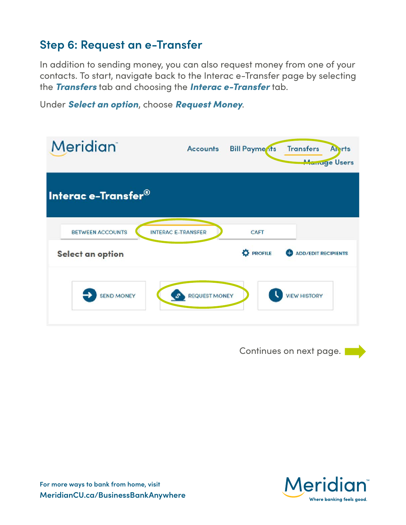#### **Step 6: Request an e-Transfer**

In addition to sending money, you can also request money from one of your contacts. To start, navigate back to the Interac e-Transfer page by selecting the *Transfers* tab and choosing the *Interac e-Transfer* tab.

Under *Select an option*, choose *Request Money*.

| <b>Meridian</b>                             | <b>Accounts</b>                       | <b>Bill Payme its</b>    | <b>Transfers</b><br><b>Anrts</b><br><b>Manage Users</b> |
|---------------------------------------------|---------------------------------------|--------------------------|---------------------------------------------------------|
| Interac e-Transfer®                         |                                       |                          |                                                         |
| <b>BETWEEN ACCOUNTS</b><br>Select an option | <b>INTERAC E-TRANSFER</b>             | CAFT<br><b>D</b> PROFILE | <b>ADD/EDIT RECIPIENTS</b>                              |
| <b>SEND MONEY</b>                           | <b>REQUEST MONEY</b><br>$S^{\bullet}$ |                          | <b>VIEW HISTORY</b>                                     |

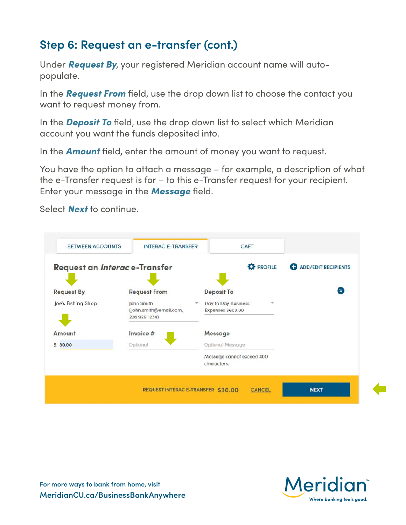#### **Step 6: Request an e-transfer (cont.)**

Under *Request By*, your registered Meridian account name will autopopulate.

In the **Request From** field, use the drop down list to choose the contact you want to request money from.

In the **Deposit To** field, use the drop down list to select which Meridian account you want the funds deposited into.

In the **Amount** field, enter the amount of money you want to request.

You have the option to attach a message – for example, a description of what the e-Transfer request is for – to this e-Transfer request for your recipient. Enter your message in the **Message** field.



Select *Next* to continue.



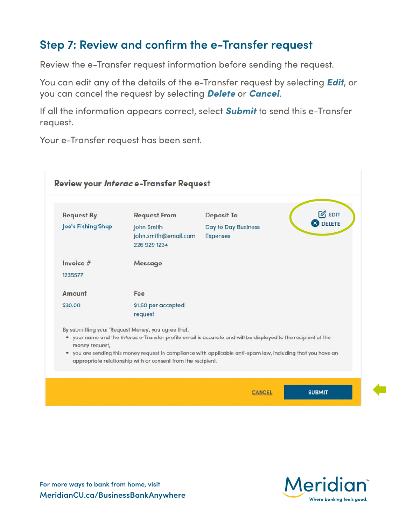#### **Step 7: Review and confrm the e-Transfer request**

Review the e-Transfer request information before sending the request.

You can edit any of the details of the e-Transfer request by selecting *Edit*, or you can cancel the request by selecting *Delete* or *Cancel*.

If all the information appears correct, select *Submit* to send this e-Transfer request.

Your e-Transfer request has been sent.

| <b>Request By</b>  | <b>Request From</b>                                                                                                                                                          | <b>Deposit To</b>                      | $\mathbb{Z}$ EDIT |
|--------------------|------------------------------------------------------------------------------------------------------------------------------------------------------------------------------|----------------------------------------|-------------------|
| Joe's Fishing Shop | John Smith<br>john.smith@email.com<br>226 929 1234                                                                                                                           | Day to Day Business<br><b>Expenses</b> | <b>8</b> DELETE   |
| Invoice $#$        | Message                                                                                                                                                                      |                                        |                   |
| 1235577            |                                                                                                                                                                              |                                        |                   |
| Amount             | Fee                                                                                                                                                                          |                                        |                   |
| \$30.00            | \$1.50 per accepted                                                                                                                                                          |                                        |                   |
|                    | request                                                                                                                                                                      |                                        |                   |
|                    | By submitting your 'Request Money', you agree that:                                                                                                                          |                                        |                   |
| money request,     | . your name and the Interace-Transfer profile email is accurate and will be displayed to the recipient of the                                                                |                                        |                   |
|                    | . you are sending this money request in compliance with applicable anti-spam law, including that you have an<br>appropriate relationship with or consent from the recipient. |                                        |                   |

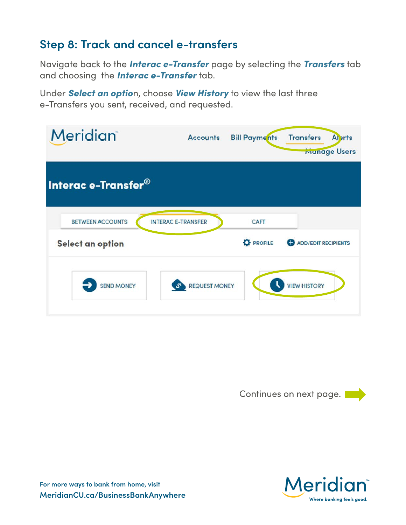#### **Step 8: Track and cancel e-transfers**

Navigate back to the *Interac e-Transfer* page by selecting the *Transfers* tab and choosing the *Interac e-Transfer* tab.

Under *Select an optio*n, choose *View History* to view the last three e-Transfers you sent, received, and requested.

| <b>Meridian</b>                             | <b>Accounts</b>           | <b>Bill Payments</b>     | <b>Transfers</b><br><b>Al</b> erts<br><b>Manage Users</b> |
|---------------------------------------------|---------------------------|--------------------------|-----------------------------------------------------------|
| Interac e-Transfer <sup>®</sup>             |                           |                          |                                                           |
| <b>BETWEEN ACCOUNTS</b><br>Select an option | <b>INTERAC E-TRANSFER</b> | CAFT<br><b>D</b> PROFILE | <b>ADD/EDIT RECIPIENTS</b>                                |
| <b>SEND MONEY</b>                           | <b>REQUEST MONEY</b>      |                          | <b>VIEW HISTORY</b>                                       |

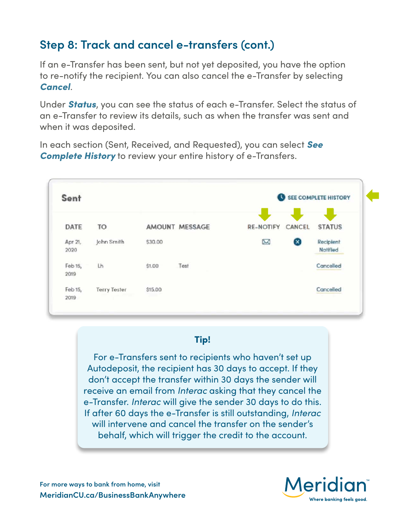## **Step 8: Track and cancel e-transfers (cont.)**

If an e-Transfer has been sent, but not yet deposited, you have the option to re-notify the recipient. You can also cancel the e-Transfer by selecting *Cancel*.

Under *Status*, you can see the status of each e-Transfer. Select the status of an e-Transfer to review its details, such as when the transfer was sent and when it was deposited.

In each section (Sent, Received, and Requested), you can select *See Complete History* to review your entire history of e-Transfers.



#### Tip!

For e-Transfers sent to recipients who haven't set up Autodeposit, the recipient has 30 days to accept. If they don't accept the transfer within 30 days the sender will receive an email from *Interac* asking that they cancel the e-Transfer. *Interac* will give the sender 30 days to do this. If after 60 days the e-Transfer is still outstanding, *Interac*  will intervene and cancel the transfer on the sender's behalf, which will trigger the credit to the account.

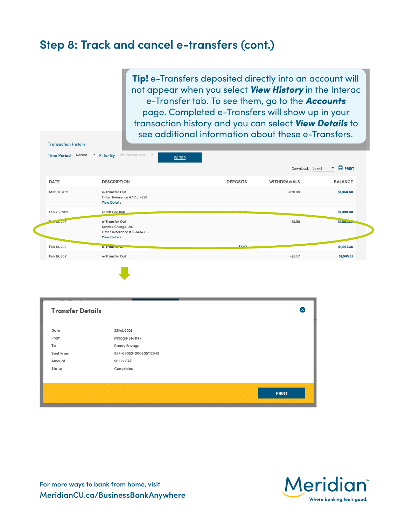#### **Step 8: Track and cancel e-transfers (cont.)**

**Transaction Uiston** 

Tip! e-Transfers deposited directly into an account will not appear when you select *View History* in the Interac e-Transfer tab. To see them, go to the *Accounts*  page. Completed e-Transfers will show up in your transaction history and you can select *View Details* to see additional information about these e-Transfers.

| Recent<br><b>Time Period</b> | All Transactions<br><b>Filter By</b><br><b>FILTER</b>                                      |                 |                    |                                |
|------------------------------|--------------------------------------------------------------------------------------------|-----------------|--------------------|--------------------------------|
|                              |                                                                                            |                 | Download: Select   | <b>O PRINT</b><br>$\mathbf{v}$ |
| DATE                         | <b>DESCRIPTION</b>                                                                         | <b>DEPOSITS</b> | <b>WITHDRAWALS</b> | <b>BALANCE</b>                 |
| Mar 19, 2021                 | e-Transfer Out<br>Other Reference #151517838<br><b>View Details</b>                        |                 | $-$ \$20.00        | \$1,068.80                     |
| Feb 28, 2021                 | eTrsfr Fee Reb                                                                             | $\sim$ $\sim$   |                    | \$1,088.80                     |
| $-10,2021$                   | e-Transfer Out<br>Service Charge 1.50<br>Other Reference #153434338<br><b>View Details</b> |                 | $-$ \$9.58         | \$1,08                         |
| Feb 19, 2021                 | e-Transier Kin                                                                             | <b>C707</b>     |                    | \$1,092.38                     |
| Feb 19, 2021                 | e-Transfer Out                                                                             |                 | $-$ \$8.57         | \$1,085.31                     |

| <b>Transfer Details</b> |                                      | $\infty$     |
|-------------------------|--------------------------------------|--------------|
| Date                    | 22Feb2021                            |              |
| From<br>To              | Maggie Levstek<br>Randy Savage       |              |
| Sent From<br>Amount     | 837-69052-000805112049<br>\$8.08 CAD |              |
| Status                  | Completed                            |              |
|                         |                                      |              |
|                         |                                      | <b>PRINT</b> |

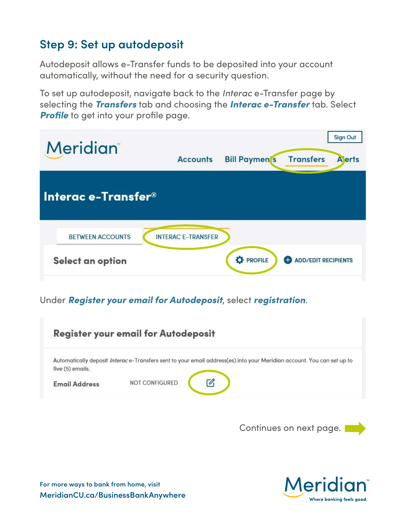### **Step 9: Set up autodeposit**

Autodeposit allows e-Transfer funds to be deposited into your account automatically, without the need for a security question.

To set up autodeposit, navigate back to the *Interac* e-Transfer page by selecting the *Transfers* tab and choosing the *Interac e-Transfer* tab. Select **Profile** to get into your profile page.

| <b>Meridian</b>         | <b>Accounts</b>           | <b>Bill Paymen</b> 's | <b>Transfers</b>                | <b>Sign Out</b><br><b>A</b> erts |
|-------------------------|---------------------------|-----------------------|---------------------------------|----------------------------------|
| Interac e-Transfer®     |                           |                       |                                 |                                  |
| <b>BETWEEN ACCOUNTS</b> | <b>INTERAC E-TRANSFER</b> |                       |                                 |                                  |
| Select an option        |                           | <b>D</b> PROFILE      | <b>ADD/EDIT RECIPIENTS</b><br>Ð |                                  |

#### Under *Register your email for Autodeposit*, select *registration*.

|                      | <b>Register your email for Autodeposit</b>                                                                            |
|----------------------|-----------------------------------------------------------------------------------------------------------------------|
|                      | Automatically deposit Interace-Transfers sent to your email address(es) into your Meridian account. You can set up to |
| five (5) emails.     |                                                                                                                       |
| <b>Email Address</b> | <b>NOT CONFIGURED</b>                                                                                                 |